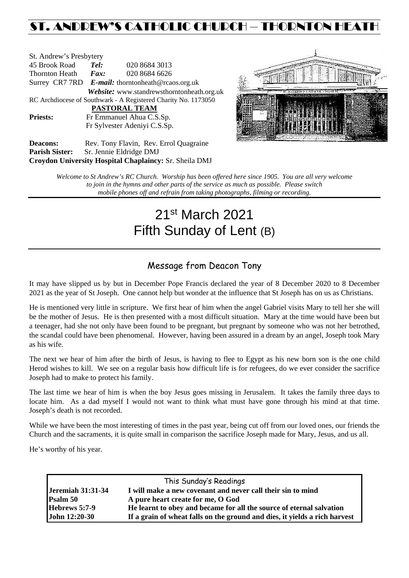# ST. ANDREW'S CATHOLIC CHURCH – THORNTON HEATH

| St. Andrew's Presbytery                                        |                                                   |                                            |  |  |  |  |
|----------------------------------------------------------------|---------------------------------------------------|--------------------------------------------|--|--|--|--|
| 45 Brook Road                                                  | Tel:                                              | 020 8684 3013                              |  |  |  |  |
| Thornton Heath                                                 | Fax:                                              | 020 8684 6626                              |  |  |  |  |
|                                                                | Surrey CR7 7RD E-mail: thorntonheath@rcaos.org.uk |                                            |  |  |  |  |
|                                                                |                                                   | Website: www.standrewsthorntonheath.org.uk |  |  |  |  |
| RC Archdiocese of Southwark - A Registered Charity No. 1173050 |                                                   |                                            |  |  |  |  |
|                                                                |                                                   | PASTORAL TEAM                              |  |  |  |  |
| <b>Priests:</b>                                                | Fr Emmanuel Ahua C.S.Sp.                          |                                            |  |  |  |  |
| Fr Sylvester Adeniyi C.S.Sp.                                   |                                                   |                                            |  |  |  |  |
| Deacons:                                                       |                                                   | Rev. Tony Flavin. Rev. Errol Quagraine.    |  |  |  |  |



Deacons: Rev. Tony Flavin, Rev. Errol Quagraine **Parish Sister:** Sr. Jennie Eldridge DMJ **Croydon University Hospital Chaplaincy:** Sr. Sheila DMJ

> *Welcome to St Andrew's RC Church. Worship has been offered here since 1905. You are all very welcome to join in the hymns and other parts of the service as much as possible. Please switch mobile phones off and refrain from taking photographs, filming or recording.*

# 21st March 2021 Fifth Sunday of Lent (B)

# Message from Deacon Tony

It may have slipped us by but in December Pope Francis declared the year of 8 December 2020 to 8 December 2021 as the year of St Joseph. One cannot help but wonder at the influence that St Joseph has on us as Christians.

He is mentioned very little in scripture. We first hear of him when the angel Gabriel visits Mary to tell her she will be the mother of Jesus. He is then presented with a most difficult situation. Mary at the time would have been but a teenager, had she not only have been found to be pregnant, but pregnant by someone who was not her betrothed, the scandal could have been phenomenal. However, having been assured in a dream by an angel, Joseph took Mary as his wife.

The next we hear of him after the birth of Jesus, is having to flee to Egypt as his new born son is the one child Herod wishes to kill. We see on a regular basis how difficult life is for refugees, do we ever consider the sacrifice Joseph had to make to protect his family.

The last time we hear of him is when the boy Jesus goes missing in Jerusalem. It takes the family three days to locate him. As a dad myself I would not want to think what must have gone through his mind at that time. Joseph's death is not recorded.

While we have been the most interesting of times in the past year, being cut off from our loved ones, our friends the Church and the sacraments, it is quite small in comparison the sacrifice Joseph made for Mary, Jesus, and us all.

He's worthy of his year.

| This Sunday's Readings   |                                                                            |  |  |  |
|--------------------------|----------------------------------------------------------------------------|--|--|--|
| <b>Jeremiah 31:31-34</b> | I will make a new covenant and never call their sin to mind                |  |  |  |
| Psalm 50                 | A pure heart create for me, O God                                          |  |  |  |
| Hebrews 5:7-9            | He learnt to obey and became for all the source of eternal salvation       |  |  |  |
| John 12:20-30            | If a grain of wheat falls on the ground and dies, it yields a rich harvest |  |  |  |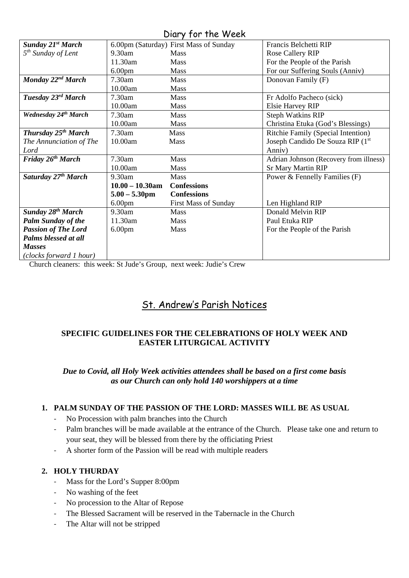Diary for the Week

| <b>Sunday 21st March</b>        |                    | 6.00pm (Saturday) First Mass of Sunday | Francis Belchetti RIP                  |
|---------------------------------|--------------------|----------------------------------------|----------------------------------------|
| 5 <sup>th</sup> Sunday of Lent  | 9.30am             | <b>Mass</b>                            | <b>Rose Callery RIP</b>                |
|                                 | 11.30am            | <b>Mass</b>                            | For the People of the Parish           |
|                                 | 6.00 <sub>pm</sub> | <b>Mass</b>                            | For our Suffering Souls (Anniv)        |
| Monday 22 <sup>nd</sup> March   | 7.30am             | Mass                                   | Donovan Family (F)                     |
|                                 | 10.00am            | <b>Mass</b>                            |                                        |
| Tuesday 23rd March              | 7.30am             | <b>Mass</b>                            | Fr Adolfo Pacheco (sick)               |
|                                 | 10.00am            | <b>Mass</b>                            | Elsie Harvey RIP                       |
| Wednesday 24th March            | 7.30am             | <b>Mass</b>                            | <b>Steph Watkins RIP</b>               |
|                                 | 10.00am            | <b>Mass</b>                            | Christina Etuka (God's Blessings)      |
| <b>Thursday 25th March</b>      | 7.30am             | Mass                                   | Ritchie Family (Special Intention)     |
| The Annunciation of The         | 10.00am            | Mass                                   | Joseph Candido De Souza RIP (1st       |
| Lord                            |                    |                                        | Anniv)                                 |
| Friday 26 <sup>th</sup> March   | 7.30am             | Mass                                   | Adrian Johnson (Recovery from illness) |
|                                 | 10.00am            | Mass                                   | <b>Sr Mary Martin RIP</b>              |
| Saturday 27 <sup>th</sup> March | 9.30am             | <b>Mass</b>                            | Power & Fennelly Families (F)          |
|                                 | $10.00 - 10.30$ am | <b>Confessions</b>                     |                                        |
|                                 | $5.00 - 5.30$ pm   | <b>Confessions</b>                     |                                        |
|                                 | 6.00 <sub>pm</sub> | First Mass of Sunday                   | Len Highland RIP                       |
| Sunday 28 <sup>th</sup> March   | 9.30am             | <b>Mass</b>                            | Donald Melvin RIP                      |
| <b>Palm Sunday of the</b>       | 11.30am            | <b>Mass</b>                            | Paul Etuka RIP                         |
| <b>Passion of The Lord</b>      | 6.00 <sub>pm</sub> | <b>Mass</b>                            | For the People of the Parish           |
| Palms blessed at all            |                    |                                        |                                        |
| <b>Masses</b>                   |                    |                                        |                                        |
| (clocks forward 1 hour)         |                    |                                        |                                        |

Church cleaners: this week: St Jude's Group, next week: Judie's Crew

# St. Andrew's Parish Notices

# **SPECIFIC GUIDELINES FOR THE CELEBRATIONS OF HOLY WEEK AND EASTER LITURGICAL ACTIVITY**

*Due to Covid, all Holy Week activities attendees shall be based on a first come basis as our Church can only hold 140 worshippers at a time*

#### **1. PALM SUNDAY OF THE PASSION OF THE LORD: MASSES WILL BE AS USUAL**

- No Procession with palm branches into the Church
- Palm branches will be made available at the entrance of the Church. Please take one and return to your seat, they will be blessed from there by the officiating Priest
- A shorter form of the Passion will be read with multiple readers

#### **2. HOLY THURDAY**

- Mass for the Lord's Supper 8:00pm
- No washing of the feet
- No procession to the Altar of Repose
- The Blessed Sacrament will be reserved in the Tabernacle in the Church
- The Altar will not be stripped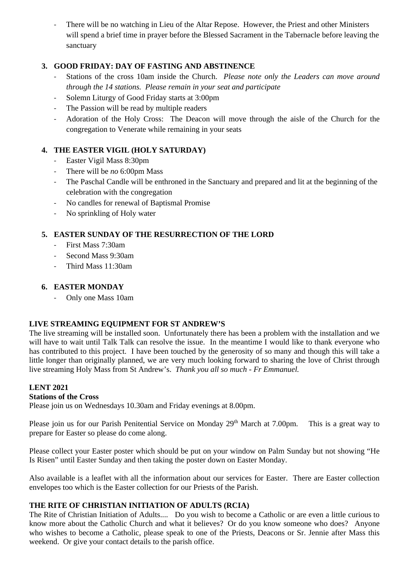There will be no watching in Lieu of the Altar Repose. However, the Priest and other Ministers will spend a brief time in prayer before the Blessed Sacrament in the Tabernacle before leaving the sanctuary

## **3. GOOD FRIDAY: DAY OF FASTING AND ABSTINENCE**

- Stations of the cross 10am inside the Church. *Please note only the Leaders can move around through the 14 stations. Please remain in your seat and participate*
- Solemn Liturgy of Good Friday starts at 3:00pm
- The Passion will be read by multiple readers
- Adoration of the Holy Cross: The Deacon will move through the aisle of the Church for the congregation to Venerate while remaining in your seats

### **4. THE EASTER VIGIL (HOLY SATURDAY)**

- Easter Vigil Mass 8:30pm
- There will be *no* 6:00pm Mass
- The Paschal Candle will be enthroned in the Sanctuary and prepared and lit at the beginning of the celebration with the congregation
- No candles for renewal of Baptismal Promise
- No sprinkling of Holy water

# **5. EASTER SUNDAY OF THE RESURRECTION OF THE LORD**

- First Mass 7:30am
- Second Mass 9:30am
- Third Mass 11:30am

## **6. EASTER MONDAY**

- Only one Mass 10am

#### **LIVE STREAMING EQUIPMENT FOR ST ANDREW'S**

The live streaming will be installed soon. Unfortunately there has been a problem with the installation and we will have to wait until Talk Talk can resolve the issue. In the meantime I would like to thank everyone who has contributed to this project. I have been touched by the generosity of so many and though this will take a little longer than originally planned, we are very much looking forward to sharing the love of Christ through live streaming Holy Mass from St Andrew's. *Thank you all so much - Fr Emmanuel.*

#### **LENT 2021**

#### **Stations of the Cross**

Please join us on Wednesdays 10.30am and Friday evenings at 8.00pm.

Please join us for our Parish Penitential Service on Monday 29<sup>th</sup> March at 7.00pm. This is a great way to prepare for Easter so please do come along.

Please collect your Easter poster which should be put on your window on Palm Sunday but not showing "He Is Risen" until Easter Sunday and then taking the poster down on Easter Monday.

Also available is a leaflet with all the information about our services for Easter. There are Easter collection envelopes too which is the Easter collection for our Priests of the Parish.

#### **THE RITE OF CHRISTIAN INITIATION OF ADULTS (RCIA)**

The Rite of Christian Initiation of Adults.... Do you wish to become a Catholic or are even a little curious to know more about the Catholic Church and what it believes? Or do you know someone who does? Anyone who wishes to become a Catholic, please speak to one of the Priests, Deacons or Sr. Jennie after Mass this weekend. Or give your contact details to the parish office.